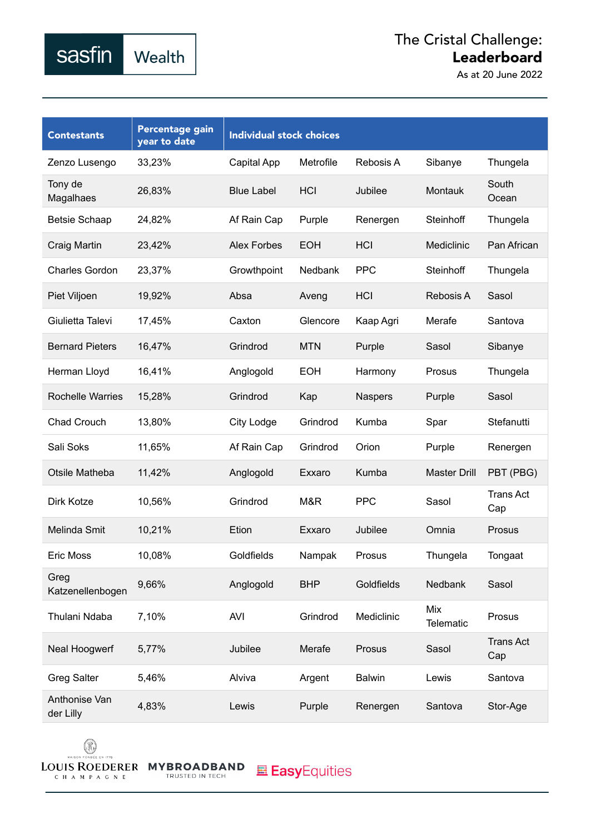As at 20 June 2022

| <b>Contestants</b>         | Percentage gain<br>year to date | <b>Individual stock choices</b> |            |                |                         |                         |
|----------------------------|---------------------------------|---------------------------------|------------|----------------|-------------------------|-------------------------|
| Zenzo Lusengo              | 33,23%                          | Capital App                     | Metrofile  | Rebosis A      | Sibanye                 | Thungela                |
| Tony de<br>Magalhaes       | 26,83%                          | <b>Blue Label</b>               | <b>HCI</b> | Jubilee        | Montauk                 | South<br>Ocean          |
| <b>Betsie Schaap</b>       | 24,82%                          | Af Rain Cap                     | Purple     | Renergen       | Steinhoff               | Thungela                |
| Craig Martin               | 23,42%                          | <b>Alex Forbes</b>              | <b>EOH</b> | HCI            | Mediclinic              | Pan African             |
| <b>Charles Gordon</b>      | 23,37%                          | Growthpoint                     | Nedbank    | <b>PPC</b>     | Steinhoff               | Thungela                |
| Piet Viljoen               | 19,92%                          | Absa                            | Aveng      | HCI            | Rebosis A               | Sasol                   |
| Giulietta Talevi           | 17,45%                          | Caxton                          | Glencore   | Kaap Agri      | Merafe                  | Santova                 |
| <b>Bernard Pieters</b>     | 16,47%                          | Grindrod                        | <b>MTN</b> | Purple         | Sasol                   | Sibanye                 |
| Herman Lloyd               | 16,41%                          | Anglogold                       | <b>EOH</b> | Harmony        | Prosus                  | Thungela                |
| <b>Rochelle Warries</b>    | 15,28%                          | Grindrod                        | Kap        | <b>Naspers</b> | Purple                  | Sasol                   |
| Chad Crouch                | 13,80%                          | City Lodge                      | Grindrod   | Kumba          | Spar                    | Stefanutti              |
| Sali Soks                  | 11,65%                          | Af Rain Cap                     | Grindrod   | Orion          | Purple                  | Renergen                |
| Otsile Matheba             | 11,42%                          | Anglogold                       | Exxaro     | Kumba          | <b>Master Drill</b>     | PBT (PBG)               |
| Dirk Kotze                 | 10,56%                          | Grindrod                        | M&R        | <b>PPC</b>     | Sasol                   | <b>Trans Act</b><br>Cap |
| Melinda Smit               | 10,21%                          | Etion                           | Exxaro     | Jubilee        | Omnia                   | Prosus                  |
| <b>Eric Moss</b>           | 10,08%                          | Goldfields                      | Nampak     | Prosus         | Thungela                | Tongaat                 |
| Greg<br>Katzenellenbogen   | 9,66%                           | Anglogold                       | <b>BHP</b> | Goldfields     | <b>Nedbank</b>          | Sasol                   |
| Thulani Ndaba              | 7,10%                           | <b>AVI</b>                      | Grindrod   | Mediclinic     | Mix<br><b>Telematic</b> | Prosus                  |
| Neal Hoogwerf              | 5,77%                           | Jubilee                         | Merafe     | Prosus         | Sasol                   | <b>Trans Act</b><br>Cap |
| <b>Greg Salter</b>         | 5,46%                           | Alviva                          | Argent     | <b>Balwin</b>  | Lewis                   | Santova                 |
| Anthonise Van<br>der Lilly | 4,83%                           | Lewis                           | Purple     | Renergen       | Santova                 | Stor-Age                |



sasfin

Wealth

TRUSTED IN TECH

**EasyEquities**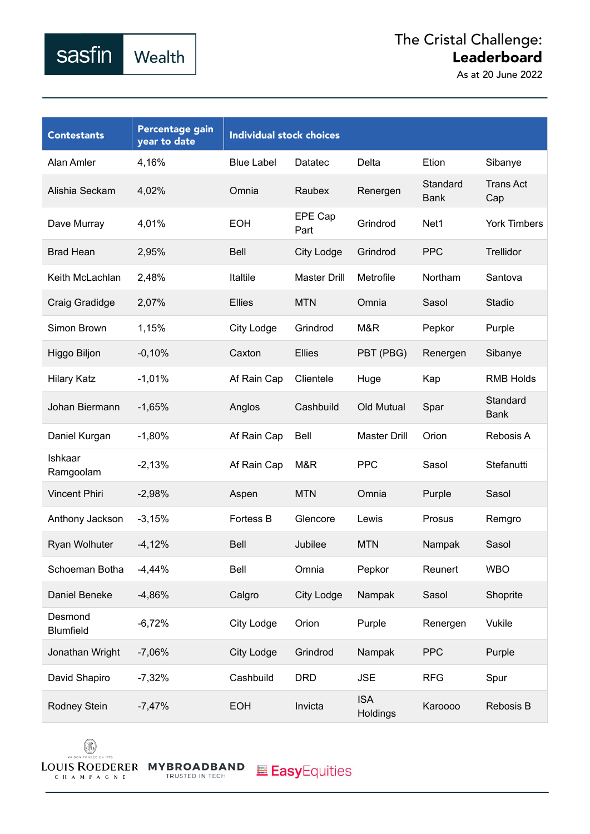As at 20 June 2022

| <b>Contestants</b>          | Percentage gain<br>year to date | <b>Individual stock choices</b> |                     |                        |                         |                         |
|-----------------------------|---------------------------------|---------------------------------|---------------------|------------------------|-------------------------|-------------------------|
| Alan Amler                  | 4,16%                           | <b>Blue Label</b>               | Datatec             | Delta                  | Etion                   | Sibanye                 |
| Alishia Seckam              | 4,02%                           | Omnia                           | Raubex              | Renergen               | Standard<br><b>Bank</b> | <b>Trans Act</b><br>Cap |
| Dave Murray                 | 4,01%                           | <b>EOH</b>                      | EPE Cap<br>Part     | Grindrod               | Net1                    | <b>York Timbers</b>     |
| <b>Brad Hean</b>            | 2,95%                           | <b>Bell</b>                     | City Lodge          | Grindrod               | <b>PPC</b>              | <b>Trellidor</b>        |
| Keith McLachlan             | 2,48%                           | Italtile                        | <b>Master Drill</b> | Metrofile              | Northam                 | Santova                 |
| Craig Gradidge              | 2,07%                           | <b>Ellies</b>                   | <b>MTN</b>          | Omnia                  | Sasol                   | Stadio                  |
| Simon Brown                 | 1,15%                           | City Lodge                      | Grindrod            | M&R                    | Pepkor                  | Purple                  |
| Higgo Biljon                | $-0,10%$                        | Caxton                          | <b>Ellies</b>       | PBT (PBG)              | Renergen                | Sibanye                 |
| <b>Hilary Katz</b>          | $-1,01%$                        | Af Rain Cap                     | Clientele           | Huge                   | Kap                     | <b>RMB Holds</b>        |
| Johan Biermann              | $-1,65%$                        | Anglos                          | Cashbuild           | Old Mutual             | Spar                    | Standard<br><b>Bank</b> |
| Daniel Kurgan               | $-1,80%$                        | Af Rain Cap                     | Bell                | <b>Master Drill</b>    | Orion                   | Rebosis A               |
| Ishkaar<br>Ramgoolam        | $-2,13%$                        | Af Rain Cap                     | M&R                 | <b>PPC</b>             | Sasol                   | Stefanutti              |
| <b>Vincent Phiri</b>        | $-2,98%$                        | Aspen                           | <b>MTN</b>          | Omnia                  | Purple                  | Sasol                   |
| Anthony Jackson             | $-3,15%$                        | Fortess B                       | Glencore            | Lewis                  | Prosus                  | Remgro                  |
| Ryan Wolhuter               | $-4,12%$                        | <b>Bell</b>                     | Jubilee             | <b>MTN</b>             | Nampak                  | Sasol                   |
| Schoeman Botha              | $-4,44%$                        | Bell                            | Omnia               | Pepkor                 | Reunert                 | <b>WBO</b>              |
| Daniel Beneke               | $-4,86%$                        | Calgro                          | City Lodge          | Nampak                 | Sasol                   | Shoprite                |
| Desmond<br><b>Blumfield</b> | $-6,72%$                        | City Lodge                      | Orion               | Purple                 | Renergen                | Vukile                  |
| Jonathan Wright             | $-7,06%$                        | City Lodge                      | Grindrod            | Nampak                 | <b>PPC</b>              | Purple                  |
| David Shapiro               | $-7,32%$                        | Cashbuild                       | <b>DRD</b>          | <b>JSE</b>             | <b>RFG</b>              | Spur                    |
| Rodney Stein                | $-7,47%$                        | <b>EOH</b>                      | Invicta             | <b>ISA</b><br>Holdings | Karoooo                 | Rebosis B               |



sasfin

Wealth

TRUSTED IN TECH

**且 Easy**Equities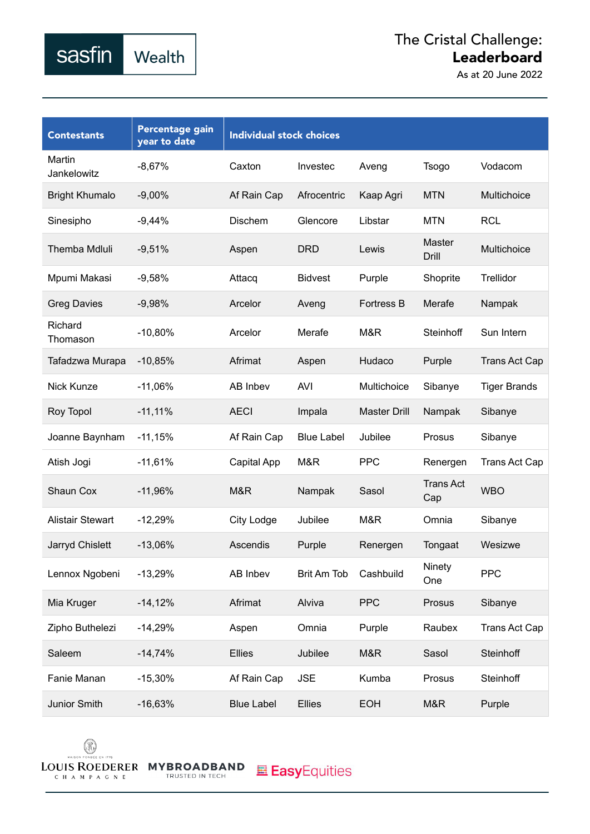As at 20 June 2022

| <b>Contestants</b>      | Percentage gain<br>year to date | <b>Individual stock choices</b> |                   |                     |                         |                      |
|-------------------------|---------------------------------|---------------------------------|-------------------|---------------------|-------------------------|----------------------|
| Martin<br>Jankelowitz   | $-8,67%$                        | Caxton                          | Investec          | Aveng               | Tsogo                   | Vodacom              |
| <b>Bright Khumalo</b>   | $-9,00%$                        | Af Rain Cap                     | Afrocentric       | Kaap Agri           | <b>MTN</b>              | Multichoice          |
| Sinesipho               | $-9,44%$                        | Dischem                         | Glencore          | Libstar             | <b>MTN</b>              | <b>RCL</b>           |
| <b>Themba Mdluli</b>    | $-9,51%$                        | Aspen                           | <b>DRD</b>        | Lewis               | Master<br><b>Drill</b>  | Multichoice          |
| Mpumi Makasi            | $-9,58%$                        | Attacq                          | <b>Bidvest</b>    | Purple              | Shoprite                | Trellidor            |
| <b>Greg Davies</b>      | $-9,98%$                        | Arcelor                         | Aveng             | <b>Fortress B</b>   | Merafe                  | Nampak               |
| Richard<br>Thomason     | $-10,80%$                       | Arcelor                         | Merafe            | M&R                 | <b>Steinhoff</b>        | Sun Intern           |
| Tafadzwa Murapa         | $-10,85%$                       | Afrimat                         | Aspen             | Hudaco              | Purple                  | <b>Trans Act Cap</b> |
| Nick Kunze              | $-11,06%$                       | AB Inbev                        | <b>AVI</b>        | Multichoice         | Sibanye                 | <b>Tiger Brands</b>  |
| Roy Topol               | $-11,11%$                       | <b>AECI</b>                     | Impala            | <b>Master Drill</b> | Nampak                  | Sibanye              |
| Joanne Baynham          | $-11,15%$                       | Af Rain Cap                     | <b>Blue Label</b> | Jubilee             | Prosus                  | Sibanye              |
| Atish Jogi              | $-11,61%$                       | Capital App                     | M&R               | <b>PPC</b>          | Renergen                | Trans Act Cap        |
| Shaun Cox               | $-11,96%$                       | M&R                             | Nampak            | Sasol               | <b>Trans Act</b><br>Cap | <b>WBO</b>           |
| <b>Alistair Stewart</b> | $-12,29%$                       | City Lodge                      | Jubilee           | M&R                 | Omnia                   | Sibanye              |
| Jarryd Chislett         | $-13,06%$                       | Ascendis                        | Purple            | Renergen            | Tongaat                 | Wesizwe              |
| Lennox Ngobeni          | $-13,29%$                       | AB Inbev                        | Brit Am Tob       | Cashbuild           | Ninety<br>One           | PPC                  |
| Mia Kruger              | $-14,12%$                       | Afrimat                         | Alviva            | <b>PPC</b>          | Prosus                  | Sibanye              |
| Zipho Buthelezi         | $-14,29%$                       | Aspen                           | Omnia             | Purple              | Raubex                  | Trans Act Cap        |
| Saleem                  | $-14,74%$                       | Ellies                          | Jubilee           | M&R                 | Sasol                   | Steinhoff            |
| Fanie Manan             | $-15,30%$                       | Af Rain Cap                     | <b>JSE</b>        | Kumba               | Prosus                  | Steinhoff            |
| Junior Smith            | $-16,63%$                       | <b>Blue Label</b>               | Ellies            | <b>EOH</b>          | M&R                     | Purple               |



sasfin

Wealth

TRUSTED IN TECH

**EasyEquities**